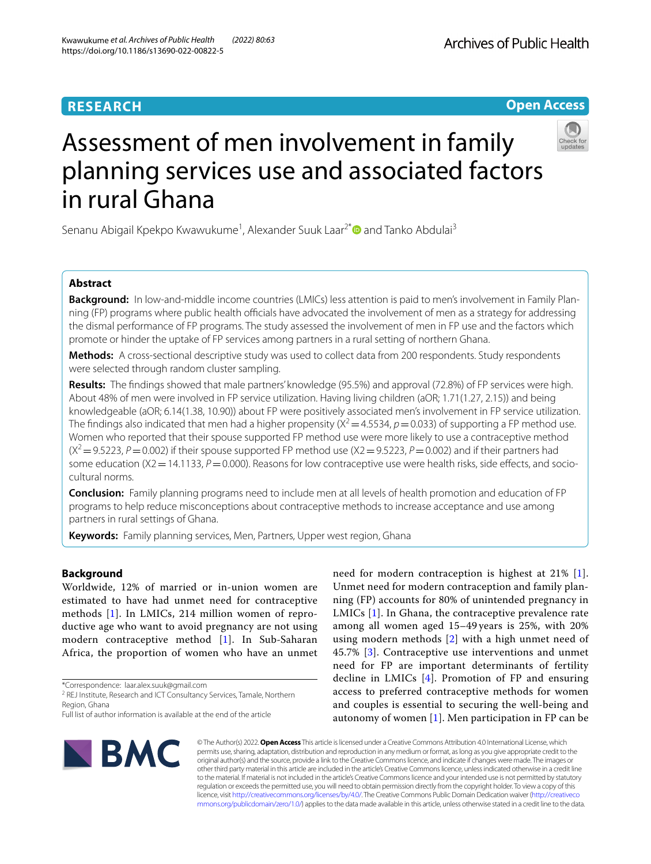# **RESEARCH**

# **Open Access**



# Assessment of men involvement in family planning services use and associated factors in rural Ghana

Senanu Abigail Kpekpo Kwawukume<sup>1</sup>, Alexander Suuk Laar<sup>2[\\*](http://orcid.org/0000-0002-0721-4533)</sup> and Tanko Abdulai<sup>3</sup>

# **Abstract**

**Background:** In low-and-middle income countries (LMICs) less attention is paid to men's involvement in Family Planning (FP) programs where public health officials have advocated the involvement of men as a strategy for addressing the dismal performance of FP programs. The study assessed the involvement of men in FP use and the factors which promote or hinder the uptake of FP services among partners in a rural setting of northern Ghana.

**Methods:** A cross-sectional descriptive study was used to collect data from 200 respondents. Study respondents were selected through random cluster sampling.

**Results:** The fndings showed that male partners' knowledge (95.5%) and approval (72.8%) of FP services were high. About 48% of men were involved in FP service utilization. Having living children (aOR; 1.71(1.27, 2.15)) and being knowledgeable (aOR; 6.14(1.38, 10.90)) about FP were positively associated men's involvement in FP service utilization. The findings also indicated that men had a higher propensity ( $X^2$  = 4.5534,  $p$  = 0.033) of supporting a FP method use. Women who reported that their spouse supported FP method use were more likely to use a contraceptive method  $(X^2 = 9.5223, P = 0.002)$  if their spouse supported FP method use  $(X^2 = 9.5223, P = 0.002)$  and if their partners had some education (X2 = 14.1133,  $P = 0.000$ ). Reasons for low contraceptive use were health risks, side effects, and sociocultural norms.

**Conclusion:** Family planning programs need to include men at all levels of health promotion and education of FP programs to help reduce misconceptions about contraceptive methods to increase acceptance and use among partners in rural settings of Ghana.

**Keywords:** Family planning services, Men, Partners, Upper west region, Ghana

# **Background**

Worldwide, 12% of married or in-union women are estimated to have had unmet need for contraceptive methods [[1\]](#page-6-0). In LMICs, 214 million women of reproductive age who want to avoid pregnancy are not using modern contraceptive method [[1\]](#page-6-0). In Sub-Saharan Africa, the proportion of women who have an unmet

\*Correspondence: laar.alex.suuk@gmail.com

need for modern contraception is highest at 21% [[1](#page-6-0)]. Unmet need for modern contraception and family planning (FP) accounts for 80% of unintended pregnancy in LMICs [[1](#page-6-0)]. In Ghana, the contraceptive prevalence rate among all women aged 15–49 years is 25%, with 20% using modern methods [[2](#page-6-1)] with a high unmet need of 45.7% [\[3](#page-6-2)]. Contraceptive use interventions and unmet need for FP are important determinants of fertility decline in LMICs [[4](#page-6-3)]. Promotion of FP and ensuring access to preferred contraceptive methods for women and couples is essential to securing the well-being and autonomy of women  $[1]$  $[1]$ . Men participation in FP can be



© The Author(s) 2022. **Open Access** This article is licensed under a Creative Commons Attribution 4.0 International License, which permits use, sharing, adaptation, distribution and reproduction in any medium or format, as long as you give appropriate credit to the original author(s) and the source, provide a link to the Creative Commons licence, and indicate if changes were made. The images or other third party material in this article are included in the article's Creative Commons licence, unless indicated otherwise in a credit line to the material. If material is not included in the article's Creative Commons licence and your intended use is not permitted by statutory regulation or exceeds the permitted use, you will need to obtain permission directly from the copyright holder. To view a copy of this licence, visit [http://creativecommons.org/licenses/by/4.0/.](http://creativecommons.org/licenses/by/4.0/) The Creative Commons Public Domain Dedication waiver ([http://creativeco](http://creativecommons.org/publicdomain/zero/1.0/) [mmons.org/publicdomain/zero/1.0/](http://creativecommons.org/publicdomain/zero/1.0/)) applies to the data made available in this article, unless otherwise stated in a credit line to the data.

<sup>&</sup>lt;sup>2</sup> REJ Institute, Research and ICT Consultancy Services, Tamale, Northern Region, Ghana

Full list of author information is available at the end of the article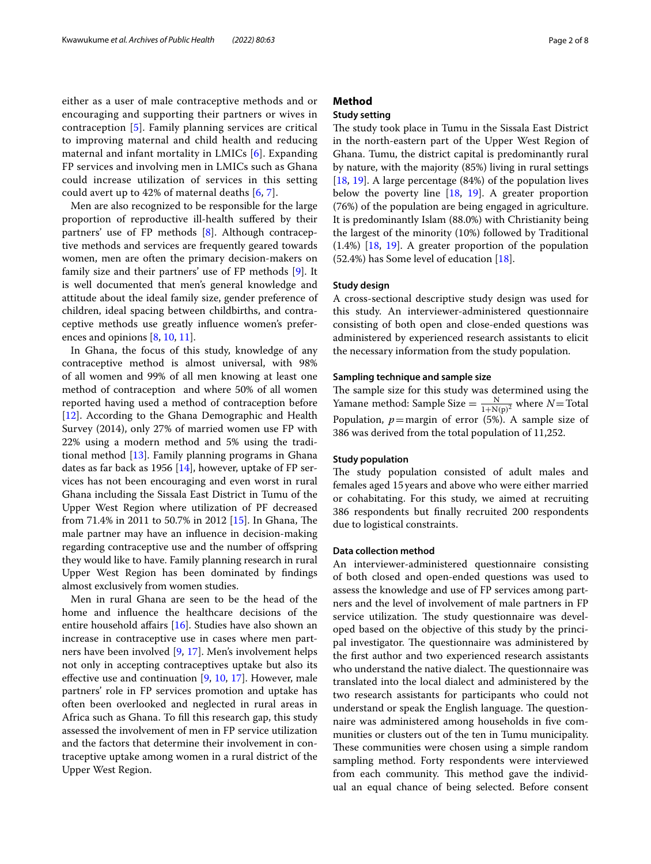either as a user of male contraceptive methods and or encouraging and supporting their partners or wives in contraception [[5](#page-6-4)]. Family planning services are critical to improving maternal and child health and reducing maternal and infant mortality in LMICs [\[6](#page-6-5)]. Expanding FP services and involving men in LMICs such as Ghana could increase utilization of services in this setting could avert up to 42% of maternal deaths [[6](#page-6-5), [7\]](#page-6-6).

Men are also recognized to be responsible for the large proportion of reproductive ill-health sufered by their partners' use of FP methods [\[8\]](#page-6-7). Although contraceptive methods and services are frequently geared towards women, men are often the primary decision-makers on family size and their partners' use of FP methods [\[9](#page-6-8)]. It is well documented that men's general knowledge and attitude about the ideal family size, gender preference of children, ideal spacing between childbirths, and contraceptive methods use greatly infuence women's preferences and opinions [\[8](#page-6-7), [10](#page-6-9), [11\]](#page-7-0).

In Ghana, the focus of this study, knowledge of any contraceptive method is almost universal, with 98% of all women and 99% of all men knowing at least one method of contraception and where 50% of all women reported having used a method of contraception before [[12\]](#page-7-1). According to the Ghana Demographic and Health Survey (2014), only 27% of married women use FP with 22% using a modern method and 5% using the traditional method [[13](#page-7-2)]. Family planning programs in Ghana dates as far back as 1956  $[14]$  $[14]$ , however, uptake of FP services has not been encouraging and even worst in rural Ghana including the Sissala East District in Tumu of the Upper West Region where utilization of PF decreased from 71.4% in 2011 to 50.7% in 2012 [\[15](#page-7-4)]. In Ghana, The male partner may have an infuence in decision-making regarding contraceptive use and the number of ofspring they would like to have. Family planning research in rural Upper West Region has been dominated by fndings almost exclusively from women studies.

Men in rural Ghana are seen to be the head of the home and infuence the healthcare decisions of the entire household affairs [[16\]](#page-7-5). Studies have also shown an increase in contraceptive use in cases where men partners have been involved [\[9](#page-6-8), [17](#page-7-6)]. Men's involvement helps not only in accepting contraceptives uptake but also its effective use and continuation  $[9, 10, 17]$  $[9, 10, 17]$  $[9, 10, 17]$  $[9, 10, 17]$  $[9, 10, 17]$  $[9, 10, 17]$  $[9, 10, 17]$ . However, male partners' role in FP services promotion and uptake has often been overlooked and neglected in rural areas in Africa such as Ghana. To fll this research gap, this study assessed the involvement of men in FP service utilization and the factors that determine their involvement in contraceptive uptake among women in a rural district of the Upper West Region.

# **Method**

# **Study setting**

The study took place in Tumu in the Sissala East District in the north-eastern part of the Upper West Region of Ghana. Tumu, the district capital is predominantly rural by nature, with the majority (85%) living in rural settings [[18,](#page-7-7) [19\]](#page-7-8). A large percentage (84%) of the population lives below the poverty line [\[18,](#page-7-7) [19\]](#page-7-8). A greater proportion (76%) of the population are being engaged in agriculture. It is predominantly Islam (88.0%) with Christianity being the largest of the minority (10%) followed by Traditional (1.4%) [\[18](#page-7-7), [19](#page-7-8)]. A greater proportion of the population (52.4%) has Some level of education [\[18\]](#page-7-7).

# **Study design**

A cross-sectional descriptive study design was used for this study. An interviewer-administered questionnaire consisting of both open and close-ended questions was administered by experienced research assistants to elicit the necessary information from the study population.

# **Sampling technique and sample size**

The sample size for this study was determined using the Yamane method: Sample Size  $=$   $\frac{N}{1+N(p)^2}$  where *N* = Total Population,  $p=$ margin of error (5%). A sample size of 386 was derived from the total population of 11,252.

# **Study population**

The study population consisted of adult males and females aged 15years and above who were either married or cohabitating. For this study, we aimed at recruiting 386 respondents but fnally recruited 200 respondents due to logistical constraints.

# **Data collection method**

An interviewer-administered questionnaire consisting of both closed and open-ended questions was used to assess the knowledge and use of FP services among partners and the level of involvement of male partners in FP service utilization. The study questionnaire was developed based on the objective of this study by the principal investigator. The questionnaire was administered by the frst author and two experienced research assistants who understand the native dialect. The questionnaire was translated into the local dialect and administered by the two research assistants for participants who could not understand or speak the English language. The questionnaire was administered among households in fve communities or clusters out of the ten in Tumu municipality. These communities were chosen using a simple random sampling method. Forty respondents were interviewed from each community. This method gave the individual an equal chance of being selected. Before consent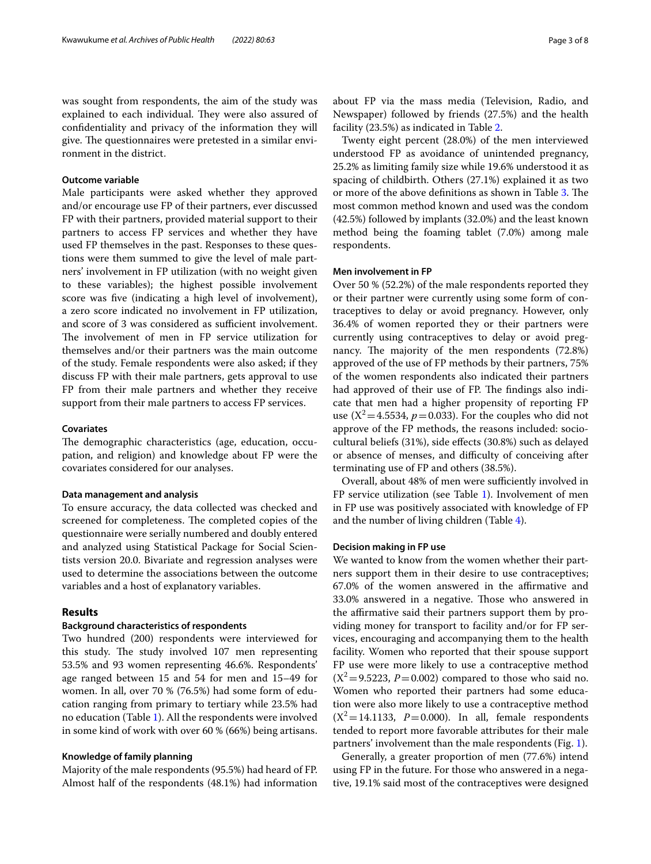was sought from respondents, the aim of the study was explained to each individual. They were also assured of confdentiality and privacy of the information they will give. The questionnaires were pretested in a similar environment in the district.

# **Outcome variable**

Male participants were asked whether they approved and/or encourage use FP of their partners, ever discussed FP with their partners, provided material support to their partners to access FP services and whether they have used FP themselves in the past. Responses to these questions were them summed to give the level of male partners' involvement in FP utilization (with no weight given to these variables); the highest possible involvement score was five (indicating a high level of involvement), a zero score indicated no involvement in FP utilization, and score of 3 was considered as sufficient involvement. The involvement of men in FP service utilization for themselves and/or their partners was the main outcome of the study. Female respondents were also asked; if they discuss FP with their male partners, gets approval to use FP from their male partners and whether they receive support from their male partners to access FP services.

## **Covariates**

The demographic characteristics (age, education, occupation, and religion) and knowledge about FP were the covariates considered for our analyses.

## **Data management and analysis**

To ensure accuracy, the data collected was checked and screened for completeness. The completed copies of the questionnaire were serially numbered and doubly entered and analyzed using Statistical Package for Social Scientists version 20.0. Bivariate and regression analyses were used to determine the associations between the outcome variables and a host of explanatory variables.

# **Results**

# **Background characteristics of respondents**

Two hundred (200) respondents were interviewed for this study. The study involved 107 men representing 53.5% and 93 women representing 46.6%. Respondents' age ranged between 15 and 54 for men and 15–49 for women. In all, over 70 % (76.5%) had some form of education ranging from primary to tertiary while 23.5% had no education (Table [1\)](#page-3-0). All the respondents were involved in some kind of work with over 60 % (66%) being artisans.

## **Knowledge of family planning**

Majority of the male respondents (95.5%) had heard of FP. Almost half of the respondents (48.1%) had information about FP via the mass media (Television, Radio, and Newspaper) followed by friends (27.5%) and the health facility (23.5%) as indicated in Table [2.](#page-4-0)

Twenty eight percent (28.0%) of the men interviewed understood FP as avoidance of unintended pregnancy, 25.2% as limiting family size while 19.6% understood it as spacing of childbirth. Others (27.1%) explained it as two or more of the above definitions as shown in Table [3](#page-4-1). The most common method known and used was the condom (42.5%) followed by implants (32.0%) and the least known method being the foaming tablet (7.0%) among male respondents.

## **Men involvement in FP**

Over 50 % (52.2%) of the male respondents reported they or their partner were currently using some form of contraceptives to delay or avoid pregnancy. However, only 36.4% of women reported they or their partners were currently using contraceptives to delay or avoid pregnancy. The majority of the men respondents  $(72.8%)$ approved of the use of FP methods by their partners, 75% of the women respondents also indicated their partners had approved of their use of FP. The findings also indicate that men had a higher propensity of reporting FP use  $(X^2=4.5534, p=0.033)$ . For the couples who did not approve of the FP methods, the reasons included: sociocultural beliefs (31%), side efects (30.8%) such as delayed or absence of menses, and difficulty of conceiving after terminating use of FP and others (38.5%).

Overall, about 48% of men were sufficiently involved in FP service utilization (see Table [1\)](#page-3-0). Involvement of men in FP use was positively associated with knowledge of FP and the number of living children (Table [4\)](#page-5-0).

# **Decision making in FP use**

We wanted to know from the women whether their partners support them in their desire to use contraceptives; 67.0% of the women answered in the afrmative and 33.0% answered in a negative. Those who answered in the affirmative said their partners support them by providing money for transport to facility and/or for FP services, encouraging and accompanying them to the health facility. Women who reported that their spouse support FP use were more likely to use a contraceptive method  $(X^2 = 9.5223, P = 0.002)$  compared to those who said no. Women who reported their partners had some education were also more likely to use a contraceptive method  $(X^2=14.1133, P=0.000)$ . In all, female respondents tended to report more favorable attributes for their male partners' involvement than the male respondents (Fig. [1](#page-5-1)).

Generally, a greater proportion of men (77.6%) intend using FP in the future. For those who answered in a negative, 19.1% said most of the contraceptives were designed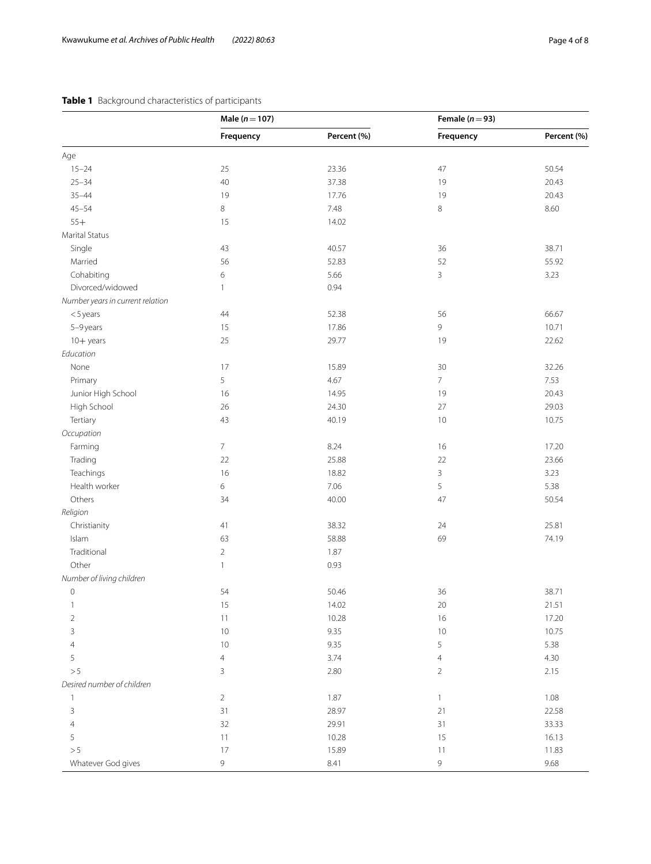# <span id="page-3-0"></span>**Table 1** Background characteristics of participants

|                                  | Male $(n = 107)$ |             | Female ( $n = 93$ ) |             |
|----------------------------------|------------------|-------------|---------------------|-------------|
|                                  | Frequency        | Percent (%) | Frequency           | Percent (%) |
| Age                              |                  |             |                     |             |
| $15 - 24$                        | 25               | 23.36       | 47                  | 50.54       |
| $25 - 34$                        | $40\,$           | 37.38       | 19                  | 20.43       |
| $35 - 44$                        | 19               | 17.76       | 19                  | 20.43       |
| $45 - 54$                        | 8                | 7.48        | 8                   | 8.60        |
| $55+$                            | 15               | 14.02       |                     |             |
| Marital Status                   |                  |             |                     |             |
| Single                           | 43               | 40.57       | 36                  | 38.71       |
| Married                          | 56               | 52.83       | 52                  | 55.92       |
| Cohabiting                       | 6                | 5.66        | 3                   | 3.23        |
| Divorced/widowed                 | 1                | 0.94        |                     |             |
| Number years in current relation |                  |             |                     |             |
| $<$ 5 years                      | 44               | 52.38       | 56                  | 66.67       |
| 5-9 years                        | 15               | 17.86       | 9                   | 10.71       |
| 10+ years                        | 25               | 29.77       | 19                  | 22.62       |
| Education                        |                  |             |                     |             |
| None                             | 17               | 15.89       | 30                  | 32.26       |
| Primary                          | 5                | 4.67        | $\overline{7}$      | 7.53        |
| Junior High School               | 16               | 14.95       | 19                  | 20.43       |
| High School                      | 26               | 24.30       | 27                  | 29.03       |
| Tertiary                         | 43               | 40.19       | 10                  | 10.75       |
| Occupation                       |                  |             |                     |             |
|                                  | $\overline{7}$   | 8.24        | 16                  | 17.20       |
| Farming                          | 22               | 25.88       | 22                  | 23.66       |
| Trading                          |                  |             |                     |             |
| Teachings                        | 16               | 18.82       | 3                   | 3.23        |
| Health worker                    | $\,$ 6 $\,$      | 7.06        | 5                   | 5.38        |
| Others                           | 34               | 40.00       | 47                  | 50.54       |
| Religion                         |                  |             |                     |             |
| Christianity                     | 41               | 38.32       | 24                  | 25.81       |
| Islam                            | 63               | 58.88       | 69                  | 74.19       |
| Traditional                      | $\overline{2}$   | 1.87        |                     |             |
| Other                            | $\mathbf{1}$     | 0.93        |                     |             |
| Number of living children        |                  |             |                     |             |
| $\mathbf{0}$                     | 54               | 50.46       | 36                  | 38.71       |
| 1                                | 15               | 14.02       | 20                  | 21.51       |
| $\overline{2}$                   | $11$             | 10.28       | 16                  | 17.20       |
| 3                                | $10$             | 9.35        | 10                  | 10.75       |
| 4                                | $10$             | 9.35        | 5                   | 5.38        |
| 5                                | $\overline{4}$   | 3.74        | 4                   | 4.30        |
| > 5                              | 3                | 2.80        | $\overline{2}$      | 2.15        |
| Desired number of children       |                  |             |                     |             |
| 1                                | $\overline{2}$   | 1.87        | $\mathbf{1}$        | 1.08        |
| 3                                | 31               | 28.97       | 21                  | 22.58       |
| 4                                | 32               | 29.91       | 31                  | 33.33       |
| 5                                | 11               | 10.28       | 15                  | 16.13       |
| > 5                              | 17               | 15.89       | 11                  | 11.83       |
| Whatever God gives               | 9                | 8.41        | 9                   | 9.68        |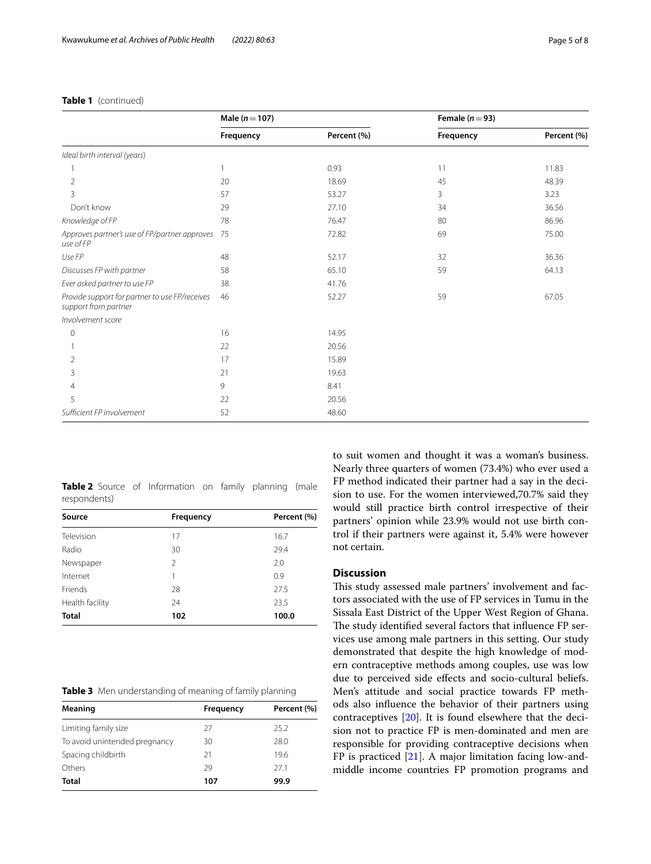|                                                                        | Male $(n = 107)$ |             | Female ( $n = 93$ ) |             |
|------------------------------------------------------------------------|------------------|-------------|---------------------|-------------|
|                                                                        | Frequency        | Percent (%) | Frequency           | Percent (%) |
| Ideal birth interval (years)                                           |                  |             |                     |             |
|                                                                        |                  | 0.93        | 11                  | 11.83       |
| $\overline{2}$                                                         | 20               | 18.69       | 45                  | 48.39       |
| 3                                                                      | 57               | 53.27       | 3                   | 3.23        |
| Don't know                                                             | 29               | 27.10       | 34                  | 36.56       |
| Knowledge of FP                                                        | 78               | 76.47       | 80                  | 86.96       |
| Approves partner's use of FP/partner approves<br>use of FP             | 75               | 72.82       | 69                  | 75.00       |
| Use FP                                                                 | 48               | 52.17       | 32                  | 36.36       |
| Discusses FP with partner                                              | 58               | 65.10       | 59                  | 64.13       |
| Ever asked partner to use FP                                           | 38               | 41.76       |                     |             |
| Provide support for partner to use FP/receives<br>support from partner | 46               | 52.27       | 59                  | 67.05       |
| Involvement score                                                      |                  |             |                     |             |
| $\overline{0}$                                                         | 16               | 14.95       |                     |             |
|                                                                        | 22               | 20.56       |                     |             |
| 2                                                                      | 17               | 15.89       |                     |             |
| 3                                                                      | 21               | 19.63       |                     |             |
| $\overline{4}$                                                         | 9                | 8.41        |                     |             |
| 5                                                                      | 22               | 20.56       |                     |             |
| Sufficient FP involvement                                              | 52               | 48.60       |                     |             |

# **Table 1** (continued)

<span id="page-4-0"></span>**Table 2** Source of Information on family planning (male respondents)

| Source          | Frequency      | Percent (%) |  |
|-----------------|----------------|-------------|--|
| Television      | 17             | 16.7        |  |
| Radio           | 30             | 29.4        |  |
| Newspaper       | $\mathfrak{D}$ | 2.0         |  |
| Internet        | 1              | 0.9         |  |
| Friends         | 28             | 27.5        |  |
| Health facility | 24             | 23.5        |  |
| <b>Total</b>    | 102            | 100.0       |  |

<span id="page-4-1"></span>

|  | Table 3 Men understanding of meaning of family planning |
|--|---------------------------------------------------------|
|--|---------------------------------------------------------|

| Meaning                       | Frequency | Percent (%) |  |
|-------------------------------|-----------|-------------|--|
| Limiting family size          | 27        | 25.2        |  |
| To avoid unintended pregnancy | 30        | 28.0        |  |
| Spacing childbirth            | 21        | 19.6        |  |
| Others                        | 29        | 27.1        |  |
| <b>Total</b>                  | 107       | 99.9        |  |

to suit women and thought it was a woman's business. Nearly three quarters of women (73.4%) who ever used a FP method indicated their partner had a say in the decision to use. For the women interviewed,70.7% said they would still practice birth control irrespective of their partners' opinion while 23.9% would not use birth control if their partners were against it, 5.4% were however not certain.

# **Discussion**

This study assessed male partners' involvement and factors associated with the use of FP services in Tumu in the Sissala East District of the Upper West Region of Ghana. The study identified several factors that influence FP services use among male partners in this setting. Our study demonstrated that despite the high knowledge of modern contraceptive methods among couples, use was low due to perceived side efects and socio-cultural beliefs. Men's attitude and social practice towards FP methods also infuence the behavior of their partners using contraceptives [[20\]](#page-7-9). It is found elsewhere that the decision not to practice FP is men-dominated and men are responsible for providing contraceptive decisions when FP is practiced  $[21]$  $[21]$ . A major limitation facing low-andmiddle income countries FP promotion programs and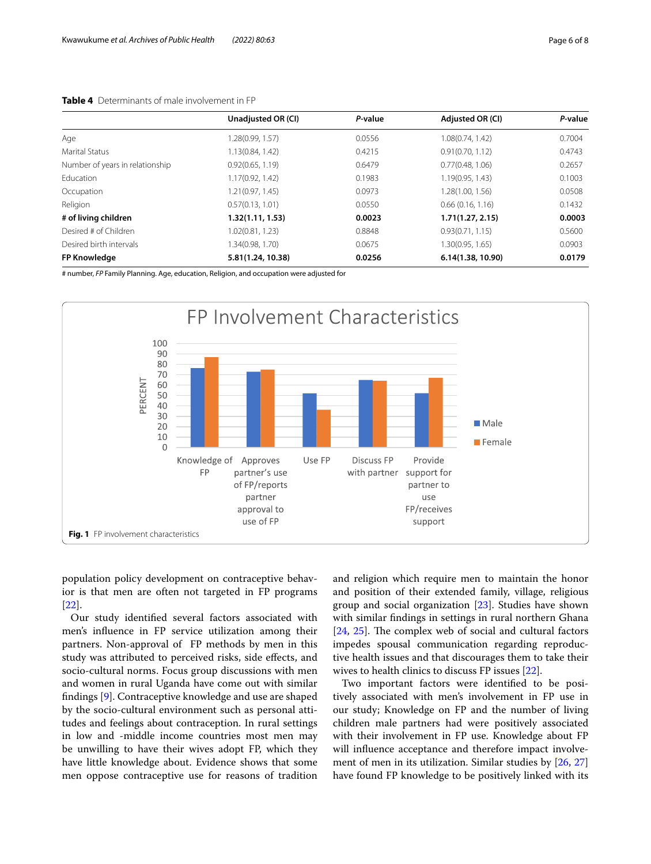<span id="page-5-0"></span>

|                                 | Unadjusted OR (CI) | P-value | Adjusted OR (CI)  | P-value |
|---------------------------------|--------------------|---------|-------------------|---------|
| Age                             | 1.28(0.99, 1.57)   | 0.0556  | 1.08(0.74, 1.42)  | 0.7004  |
| Marital Status                  | 1.13(0.84, 1.42)   | 0.4215  | 0.91(0.70, 1.12)  | 0.4743  |
| Number of years in relationship | 0.92(0.65, 1.19)   | 0.6479  | 0.77(0.48, 1.06)  | 0.2657  |
| Education                       | 1.17(0.92, 1.42)   | 0.1983  | 1.19(0.95, 1.43)  | 0.1003  |
| Occupation                      | 1.21(0.97, 1.45)   | 0.0973  | 1.28(1.00, 1.56)  | 0.0508  |
| Religion                        | 0.57(0.13, 1.01)   | 0.0550  | 0.66(0.16, 1.16)  | 0.1432  |
| # of living children            | 1.32(1.11, 1.53)   | 0.0023  | 1.71(1.27, 2.15)  | 0.0003  |
| Desired # of Children           | 1.02(0.81, 1.23)   | 0.8848  | 0.93(0.71, 1.15)  | 0.5600  |
| Desired birth intervals         | 1.34(0.98, 1.70)   | 0.0675  | 1.30(0.95, 1.65)  | 0.0903  |
| <b>FP Knowledge</b>             | 5.81(1.24, 10.38)  | 0.0256  | 6.14(1.38, 10.90) | 0.0179  |

# number, *FP* Family Planning. Age, education, Religion, and occupation were adjusted for



<span id="page-5-1"></span>population policy development on contraceptive behavior is that men are often not targeted in FP programs [[22\]](#page-7-11).

Our study identifed several factors associated with men's infuence in FP service utilization among their partners. Non-approval of FP methods by men in this study was attributed to perceived risks, side efects, and socio-cultural norms. Focus group discussions with men and women in rural Uganda have come out with similar fndings [[9\]](#page-6-8). Contraceptive knowledge and use are shaped by the socio-cultural environment such as personal attitudes and feelings about contraception. In rural settings in low and -middle income countries most men may be unwilling to have their wives adopt FP, which they have little knowledge about. Evidence shows that some men oppose contraceptive use for reasons of tradition and religion which require men to maintain the honor and position of their extended family, village, religious group and social organization [\[23\]](#page-7-12). Studies have shown with similar fndings in settings in rural northern Ghana [[24,](#page-7-13) [25](#page-7-14)]. The complex web of social and cultural factors impedes spousal communication regarding reproductive health issues and that discourages them to take their wives to health clinics to discuss FP issues [\[22\]](#page-7-11).

Two important factors were identifed to be positively associated with men's involvement in FP use in our study; Knowledge on FP and the number of living children male partners had were positively associated with their involvement in FP use. Knowledge about FP will infuence acceptance and therefore impact involvement of men in its utilization. Similar studies by [[26](#page-7-15), [27](#page-7-16)] have found FP knowledge to be positively linked with its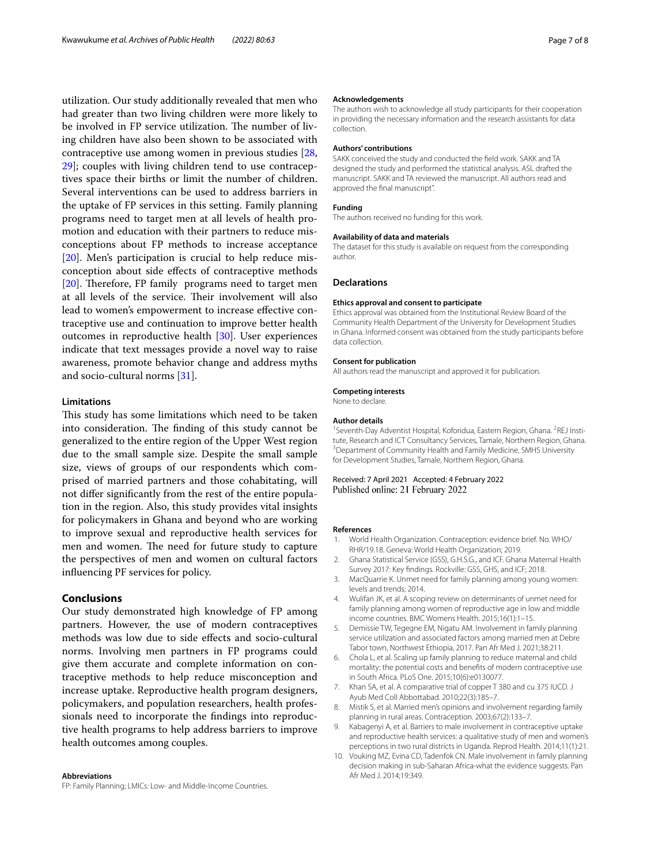utilization. Our study additionally revealed that men who had greater than two living children were more likely to be involved in FP service utilization. The number of living children have also been shown to be associated with contraceptive use among women in previous studies [\[28](#page-7-17), [29\]](#page-7-18); couples with living children tend to use contraceptives space their births or limit the number of children. Several interventions can be used to address barriers in the uptake of FP services in this setting. Family planning programs need to target men at all levels of health promotion and education with their partners to reduce misconceptions about FP methods to increase acceptance [[20\]](#page-7-9). Men's participation is crucial to help reduce misconception about side efects of contraceptive methods  $[20]$  $[20]$ . Therefore, FP family programs need to target men at all levels of the service. Their involvement will also lead to women's empowerment to increase effective contraceptive use and continuation to improve better health outcomes in reproductive health [[30](#page-7-19)]. User experiences indicate that text messages provide a novel way to raise awareness, promote behavior change and address myths and socio-cultural norms [\[31\]](#page-7-20).

# **Limitations**

This study has some limitations which need to be taken into consideration. The finding of this study cannot be generalized to the entire region of the Upper West region due to the small sample size. Despite the small sample size, views of groups of our respondents which comprised of married partners and those cohabitating, will not difer signifcantly from the rest of the entire population in the region. Also, this study provides vital insights for policymakers in Ghana and beyond who are working to improve sexual and reproductive health services for men and women. The need for future study to capture the perspectives of men and women on cultural factors infuencing PF services for policy.

# **Conclusions**

Our study demonstrated high knowledge of FP among partners. However, the use of modern contraceptives methods was low due to side efects and socio-cultural norms. Involving men partners in FP programs could give them accurate and complete information on contraceptive methods to help reduce misconception and increase uptake. Reproductive health program designers, policymakers, and population researchers, health professionals need to incorporate the fndings into reproductive health programs to help address barriers to improve health outcomes among couples.

#### **Abbreviations**

FP: Family Planning; LMICs: Low- and Middle-Income Countries.

#### **Acknowledgements**

The authors wish to acknowledge all study participants for their cooperation in providing the necessary information and the research assistants for data collection.

## **Authors' contributions**

SAKK conceived the study and conducted the feld work. SAKK and TA designed the study and performed the statistical analysis. ASL drafted the manuscript. SAKK and TA reviewed the manuscript. All authors read and approved the fnal manuscript".

## **Funding**

The authors received no funding for this work.

# **Availability of data and materials**

The dataset for this study is available on request from the corresponding author.

## **Declarations**

#### **Ethics approval and consent to participate**

Ethics approval was obtained from the Institutional Review Board of the Community Health Department of the University for Development Studies in Ghana. Informed consent was obtained from the study participants before data collection.

#### **Consent for publication**

All authors read the manuscript and approved it for publication.

# **Competing interests**

None to declare.

#### **Author details**

<sup>1</sup> Seventh-Day Adventist Hospital, Koforidua, Eastern Region, Ghana. <sup>2</sup>REJ Institute, Research and ICT Consultancy Services, Tamale, Northern Region, Ghana. 3 <sup>3</sup> Department of Community Health and Family Medicine, SMHS University for Development Studies, Tamale, Northern Region, Ghana.

Received: 7 April 2021 Accepted: 4 February 2022 Published online: 21 February 2022

#### **References**

- <span id="page-6-0"></span>1. World Health Organization. Contraception: evidence brief. No. WHO/ RHR/19.18. Geneva: World Health Organization; 2019.
- <span id="page-6-1"></span>2. Ghana Statistical Service (GSS), G.H.S.G., and ICF. Ghana Maternal Health Survey 2017: Key fndings. Rockville: GSS, GHS, and ICF; 2018.
- <span id="page-6-2"></span>3. MacQuarrie K. Unmet need for family planning among young women: levels and trends; 2014.
- <span id="page-6-3"></span>4. Wulifan JK, et al. A scoping review on determinants of unmet need for family planning among women of reproductive age in low and middle income countries. BMC Womens Health. 2015;16(1):1–15.
- <span id="page-6-4"></span>5. Demissie TW, Tegegne EM, Nigatu AM. Involvement in family planning service utilization and associated factors among married men at Debre Tabor town, Northwest Ethiopia, 2017. Pan Afr Med J. 2021;38:211.
- <span id="page-6-5"></span>6. Chola L, et al. Scaling up family planning to reduce maternal and child mortality: the potential costs and benefts of modern contraceptive use in South Africa. PLoS One. 2015;10(6):e0130077.
- <span id="page-6-6"></span>7. Khan SA, et al. A comparative trial of copper T 380 and cu 375 IUCD. J Ayub Med Coll Abbottabad. 2010;22(3):185–7.
- <span id="page-6-7"></span>8. Mistik S, et al. Married men's opinions and involvement regarding family planning in rural areas. Contraception. 2003;67(2):133–7.
- <span id="page-6-8"></span>9. Kabagenyi A, et al. Barriers to male involvement in contraceptive uptake and reproductive health services: a qualitative study of men and women's perceptions in two rural districts in Uganda. Reprod Health. 2014;11(1):21.
- <span id="page-6-9"></span>10. Vouking MZ, Evina CD, Tadenfok CN. Male involvement in family planning decision making in sub-Saharan Africa-what the evidence suggests. Pan Afr Med J. 2014;19:349.